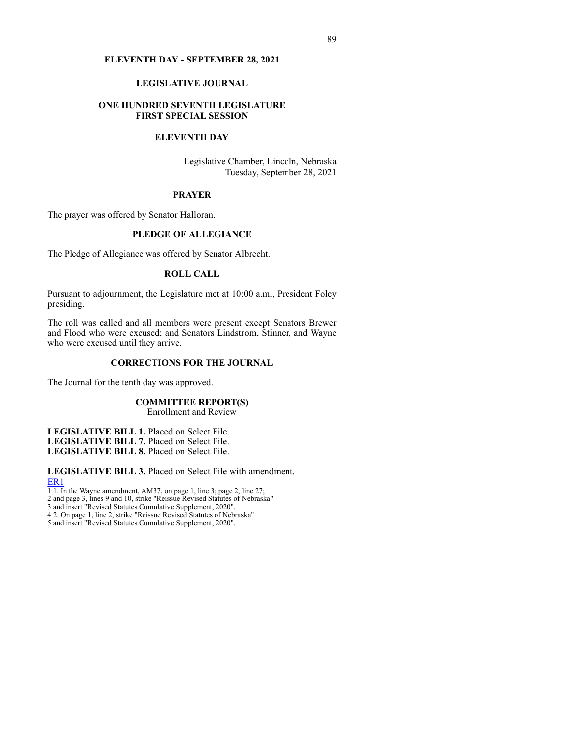#### **ELEVENTH DAY - SEPTEMBER 28, 2021**

# **LEGISLATIVE JOURNAL**

### **ONE HUNDRED SEVENTH LEGISLATURE FIRST SPECIAL SESSION**

### **ELEVENTH DAY**

Legislative Chamber, Lincoln, Nebraska Tuesday, September 28, 2021

#### **PRAYER**

The prayer was offered by Senator Halloran.

## **PLEDGE OF ALLEGIANCE**

The Pledge of Allegiance was offered by Senator Albrecht.

### **ROLL CALL**

Pursuant to adjournment, the Legislature met at 10:00 a.m., President Foley presiding.

The roll was called and all members were present except Senators Brewer and Flood who were excused; and Senators Lindstrom, Stinner, and Wayne who were excused until they arrive.

# **CORRECTIONS FOR THE JOURNAL**

The Journal for the tenth day was approved.

# **COMMITTEE REPORT(S)**

Enrollment and Review

**LEGISLATIVE BILL 1.** Placed on Select File. **LEGISLATIVE BILL 7.** Placed on Select File. **LEGISLATIVE BILL 8.** Placed on Select File.

**LEGISLATIVE BILL 3.** Placed on Select File with amendment. [ER1](https://www.nebraskalegislature.gov/FloorDocs/107/PDF/AM/ER1.pdf)

1 1. In the Wayne amendment, AM37, on page 1, line 3; page 2, line 27;

2 and page 3, lines 9 and 10, strike "Reissue Revised Statutes of Nebraska"

3 and insert "Revised Statutes Cumulative Supplement, 2020".

4 2. On page 1, line 2, strike "Reissue Revised Statutes of Nebraska"

5 and insert "Revised Statutes Cumulative Supplement, 2020".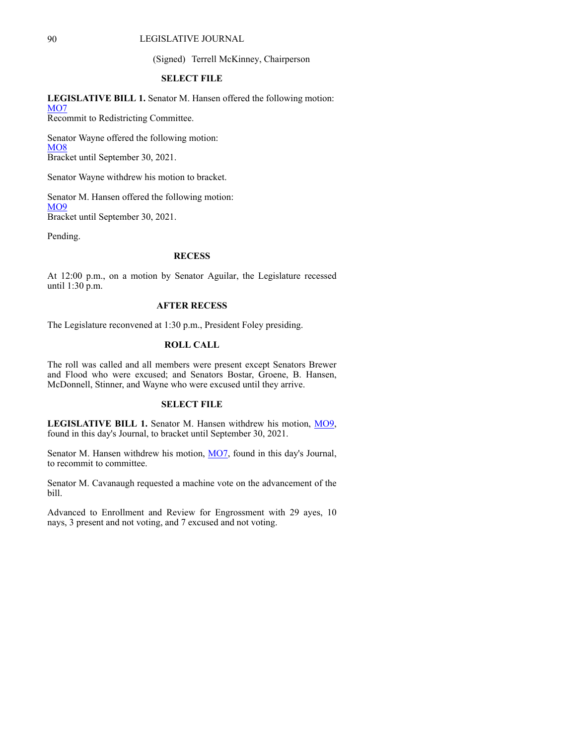# 90 LEGISLATIVE JOURNAL

(Signed) Terrell McKinney, Chairperson

#### **SELECT FILE**

**LEGISLATIVE BILL 1.** Senator M. Hansen offered the following motion: [MO7](https://www.nebraskalegislature.gov/FloorDocs/107/PDF/AM/MO7.pdf) Recommit to Redistricting Committee.

Senator Wayne offered the following motion: [MO8](https://www.nebraskalegislature.gov/FloorDocs/107/PDF/AM/MO8.pdf) Bracket until September 30, 2021.

Senator Wayne withdrew his motion to bracket.

Senator M. Hansen offered the following motion: **[MO9](https://www.nebraskalegislature.gov/FloorDocs/107/PDF/AM/MO9.pdf)** Bracket until September 30, 2021.

Pending.

### **RECESS**

At 12:00 p.m., on a motion by Senator Aguilar, the Legislature recessed until 1:30 p.m.

# **AFTER RECESS**

The Legislature reconvened at 1:30 p.m., President Foley presiding.

#### **ROLL CALL**

The roll was called and all members were present except Senators Brewer and Flood who were excused; and Senators Bostar, Groene, B. Hansen, McDonnell, Stinner, and Wayne who were excused until they arrive.

### **SELECT FILE**

**LEGISLATIVE BILL 1.** Senator M. Hansen withdrew his motion, [MO9](https://www.nebraskalegislature.gov/FloorDocs/107/PDF/AM/MO9.pdf), found in this day's Journal, to bracket until September 30, 2021.

Senator M. Hansen withdrew his motion, [MO7](https://www.nebraskalegislature.gov/FloorDocs/107/PDF/AM/MO7.pdf), found in this day's Journal, to recommit to committee.

Senator M. Cavanaugh requested a machine vote on the advancement of the bill.

Advanced to Enrollment and Review for Engrossment with 29 ayes, 10 nays, 3 present and not voting, and 7 excused and not voting.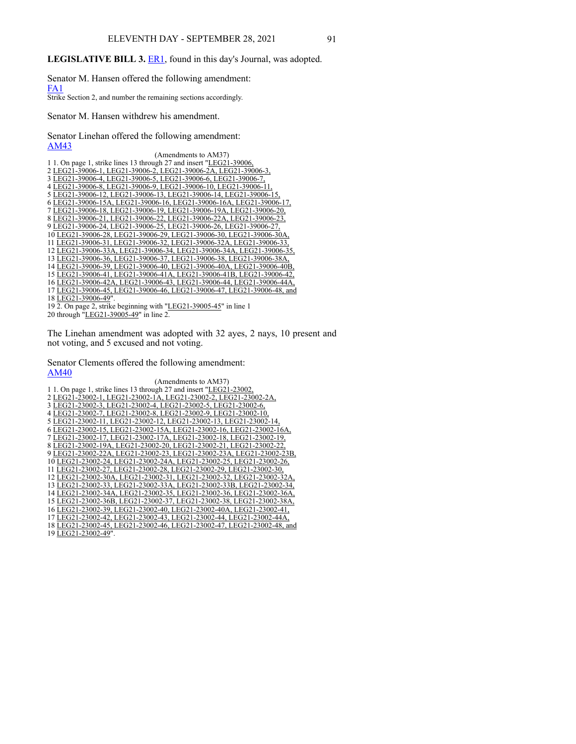# **LEGISLATIVE BILL 3.** [ER1](https://www.nebraskalegislature.gov/FloorDocs/107/PDF/AM/ER1.pdf), found in this day's Journal, was adopted.

Senator M. Hansen offered the following amendment: [FA1](https://www.nebraskalegislature.gov/FloorDocs/107/PDF/AM/FA1.pdf)

Strike Section 2, and number the remaining sections accordingly.

Senator M. Hansen withdrew his amendment.

Senator Linehan offered the following amendment: [AM43](https://www.nebraskalegislature.gov/FloorDocs/107/PDF/AM/AM43.pdf)

| (Amendments to AM37)                                                 |
|----------------------------------------------------------------------|
| 1 1. On page 1, strike lines 13 through 27 and insert "LEG21-39006,  |
| 2 LEG21-39006-1, LEG21-39006-2, LEG21-39006-2A, LEG21-39006-3,       |
| 3 LEG21-39006-4, LEG21-39006-5, LEG21-39006-6, LEG21-39006-7,        |
| 4 LEG21-39006-8, LEG21-39006-9, LEG21-39006-10, LEG21-39006-11,      |
| 5 LEG21-39006-12, LEG21-39006-13, LEG21-39006-14, LEG21-39006-15,    |
| 6 LEG21-39006-15A, LEG21-39006-16, LEG21-39006-16A, LEG21-39006-17,  |
| 7 LEG21-39006-18, LEG21-39006-19, LEG21-39006-19A, LEG21-39006-20,   |
| 8 LEG21-39006-21, LEG21-39006-22, LEG21-39006-22A, LEG21-39006-23,   |
| 9 LEG21-39006-24, LEG21-39006-25, LEG21-39006-26, LEG21-39006-27,    |
| 10 LEG21-39006-28, LEG21-39006-29, LEG21-39006-30, LEG21-39006-30A,  |
| LEG21-39006-31, LEG21-39006-32, LEG21-39006-32A, LEG21-39006-33,     |
| 12 LEG21-39006-33A, LEG21-39006-34, LEG21-39006-34A, LEG21-39006-35, |
| 13 LEG21-39006-36, LEG21-39006-37, LEG21-39006-38, LEG21-39006-38A,  |
| 14 LEG21-39006-39, LEG21-39006-40, LEG21-39006-40A, LEG21-39006-40B, |
| 15 LEG21-39006-41, LEG21-39006-41A, LEG21-39006-41B, LEG21-39006-42, |
| 16 LEG21-39006-42A, LEG21-39006-43, LEG21-39006-44, LEG21-39006-44A, |
| LEG21-39006-45, LEG21-39006-46, LEG21-39006-47, LEG21-39006-48, and  |
| 18 LEG21-39006-49".                                                  |
| 19 2. On page 2, strike beginning with "LEG21-39005-45" in line 1    |
|                                                                      |

20 through "LEG21-39005-49" in line 2.

The Linehan amendment was adopted with 32 ayes, 2 nays, 10 present and not voting, and 5 excused and not voting.

Senator Clements offered the following amendment: [AM40](https://www.nebraskalegislature.gov/FloorDocs/107/PDF/AM/AM40.pdf)

(Amendments to AM37) 1 1. On page 1, strike lines 13 through 27 and insert "LEG21-23002, 2 LEG21-23002-1, LEG21-23002-1A, LEG21-23002-2, LEG21-23002-2A, 3 LEG21-23002-3, LEG21-23002-4, LEG21-23002-5, LEG21-23002-6, 4 LEG21-23002-7, LEG21-23002-8, LEG21-23002-9, LEG21-23002-10, 5 LEG21-23002-11, LEG21-23002-12, LEG21-23002-13, LEG21-23002-14, 6 LEG21-23002-15, LEG21-23002-15A, LEG21-23002-16, LEG21-23002-16A, 7 LEG21-23002-17, LEG21-23002-17A, LEG21-23002-18, LEG21-23002-19, 8 LEG21-23002-19A, LEG21-23002-20, LEG21-23002-21, LEG21-23002-22, 9 LEG21-23002-22A, LEG21-23002-23, LEG21-23002-23A, LEG21-23002-23B, 10 LEG21-23002-24, LEG21-23002-24A, LEG21-23002-25, LEG21-23002-26, 11 LEG21-23002-27, LEG21-23002-28, LEG21-23002-29, LEG21-23002-30, 12 LEG21-23002-30A, LEG21-23002-31, LEG21-23002-32, LEG21-23002-32A, 13 LEG21-23002-33, LEG21-23002-33A, LEG21-23002-33B, LEG21-23002-34, 14 LEG21-23002-34A, LEG21-23002-35, LEG21-23002-36, LEG21-23002-36A, 15 LEG21-23002-36B, LEG21-23002-37, LEG21-23002-38, LEG21-23002-38A, 16 LEG21-23002-39, LEG21-23002-40, LEG21-23002-40A, LEG21-23002-41, 17 LEG21-23002-42, LEG21-23002-43, LEG21-23002-44, LEG21-23002-44A, 18 LEG21-23002-45, LEG21-23002-46, LEG21-23002-47, LEG21-23002-48, and

19 LEG21-23002-49".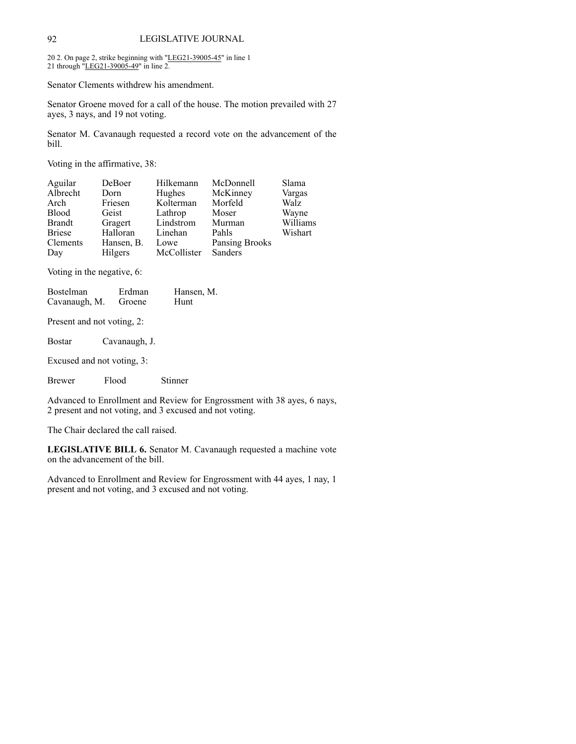20 2. On page 2, strike beginning with "LEG21-39005-45" in line 1 21 through "LEG21-39005-49" in line 2.

Senator Clements withdrew his amendment.

Senator Groene moved for a call of the house. The motion prevailed with 27 ayes, 3 nays, and 19 not voting.

Senator M. Cavanaugh requested a record vote on the advancement of the bill.

Voting in the affirmative, 38:

| Aguilar       | DeBoer     | Hilkemann   | McDonnell      | Slama       |
|---------------|------------|-------------|----------------|-------------|
| Albrecht      | Dorn       | Hughes      | McKinney       | Vargas      |
| Arch          | Friesen    | Kolterman   | Morfeld        | <b>Walz</b> |
| <b>Blood</b>  | Geist      | Lathrop     | Moser          | Wayne       |
| <b>Brandt</b> | Gragert    | Lindstrom   | Murman         | Williams    |
| <b>Briese</b> | Halloran   | Linehan     | Pahls          | Wishart     |
| Clements      | Hansen, B. | Lowe        | Pansing Brooks |             |
| Day           | Hilgers    | McCollister | Sanders        |             |

Voting in the negative, 6:

| <b>Bostelman</b> | Erdman | Hansen, M. |
|------------------|--------|------------|
| Cavanaugh, M.    | Groene | Hunt       |

Present and not voting, 2:

Bostar Cavanaugh, J.

Excused and not voting, 3:

Brewer Flood Stinner

Advanced to Enrollment and Review for Engrossment with 38 ayes, 6 nays, 2 present and not voting, and 3 excused and not voting.

The Chair declared the call raised.

**LEGISLATIVE BILL 6.** Senator M. Cavanaugh requested a machine vote on the advancement of the bill.

Advanced to Enrollment and Review for Engrossment with 44 ayes, 1 nay, 1 present and not voting, and 3 excused and not voting.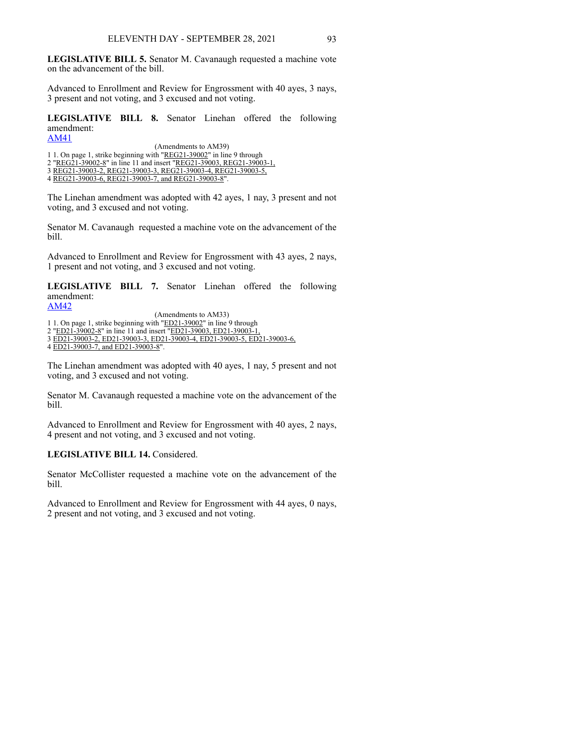**LEGISLATIVE BILL 5.** Senator M. Cavanaugh requested a machine vote on the advancement of the bill.

Advanced to Enrollment and Review for Engrossment with 40 ayes, 3 nays, 3 present and not voting, and 3 excused and not voting.

**LEGISLATIVE BILL 8.** Senator Linehan offered the following amendment:

[AM41](https://www.nebraskalegislature.gov/FloorDocs/107/PDF/AM/AM41.pdf) (Amendments to AM39)

1 1. On page 1, strike beginning with "REG21-39002" in line 9 through

2 "REG21-39002-8" in line 11 and insert "REG21-39003, REG21-39003-1, 3 REG21-39003-2, REG21-39003-3, REG21-39003-4, REG21-39003-5,

4 REG21-39003-6, REG21-39003-7, and REG21-39003-8".

The Linehan amendment was adopted with 42 ayes, 1 nay, 3 present and not voting, and 3 excused and not voting.

Senator M. Cavanaugh requested a machine vote on the advancement of the bill.

Advanced to Enrollment and Review for Engrossment with 43 ayes, 2 nays, 1 present and not voting, and 3 excused and not voting.

**LEGISLATIVE BILL 7.** Senator Linehan offered the following amendment:

[AM42](https://www.nebraskalegislature.gov/FloorDocs/107/PDF/AM/AM42.pdf) (Amendments to AM33) 1 1. On page 1, strike beginning with "ED21-39002" in line 9 through 2 "ED21-39002-8" in line 11 and insert "ED21-39003, ED21-39003-1, 3 ED21-39003-2, ED21-39003-3, ED21-39003-4, ED21-39003-5, ED21-39003-6, 4 ED21-39003-7, and ED21-39003-8".

The Linehan amendment was adopted with 40 ayes, 1 nay, 5 present and not voting, and 3 excused and not voting.

Senator M. Cavanaugh requested a machine vote on the advancement of the bill.

Advanced to Enrollment and Review for Engrossment with 40 ayes, 2 nays, 4 present and not voting, and 3 excused and not voting.

### **LEGISLATIVE BILL 14.** Considered.

Senator McCollister requested a machine vote on the advancement of the bill.

Advanced to Enrollment and Review for Engrossment with 44 ayes, 0 nays, 2 present and not voting, and 3 excused and not voting.